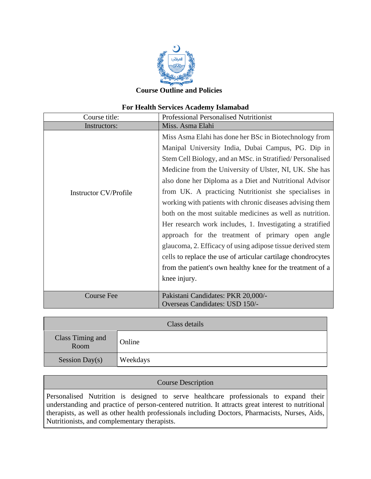

#### **Course Outline and Policies**

#### **For Health Services Academy Islamabad**

| Course title:                | <b>Professional Personalised Nutritionist</b>                                                                                                                                                                                                                                                                                                                                                                                                                                                                                                                                                                                                                                                                                                                                                                   |
|------------------------------|-----------------------------------------------------------------------------------------------------------------------------------------------------------------------------------------------------------------------------------------------------------------------------------------------------------------------------------------------------------------------------------------------------------------------------------------------------------------------------------------------------------------------------------------------------------------------------------------------------------------------------------------------------------------------------------------------------------------------------------------------------------------------------------------------------------------|
| Instructors:                 | Miss. Asma Elahi                                                                                                                                                                                                                                                                                                                                                                                                                                                                                                                                                                                                                                                                                                                                                                                                |
| <b>Instructor CV/Profile</b> | Miss Asma Elahi has done her BSc in Biotechnology from<br>Manipal University India, Dubai Campus, PG. Dip in<br>Stem Cell Biology, and an MSc. in Stratified/Personalised<br>Medicine from the University of Ulster, NI, UK. She has<br>also done her Diploma as a Diet and Nutritional Advisor<br>from UK. A practicing Nutritionist she specialises in<br>working with patients with chronic diseases advising them<br>both on the most suitable medicines as well as nutrition.<br>Her research work includes, 1. Investigating a stratified<br>approach for the treatment of primary open angle<br>glaucoma, 2. Efficacy of using adipose tissue derived stem<br>cells to replace the use of articular cartilage chondrocytes<br>from the patient's own healthy knee for the treatment of a<br>knee injury. |
| <b>Course Fee</b>            | Pakistani Candidates: PKR 20,000/-<br>Overseas Candidates: USD 150/-                                                                                                                                                                                                                                                                                                                                                                                                                                                                                                                                                                                                                                                                                                                                            |

| Class details            |          |  |
|--------------------------|----------|--|
| Class Timing and<br>Room | Online   |  |
| Session Day(s)           | Weekdays |  |

## Course Description

Personalised Nutrition is designed to serve healthcare professionals to expand their understanding and practice of person-centered nutrition. It attracts great interest to nutritional therapists, as well as other health professionals including Doctors, Pharmacists, Nurses, Aids, Nutritionists, and complementary therapists.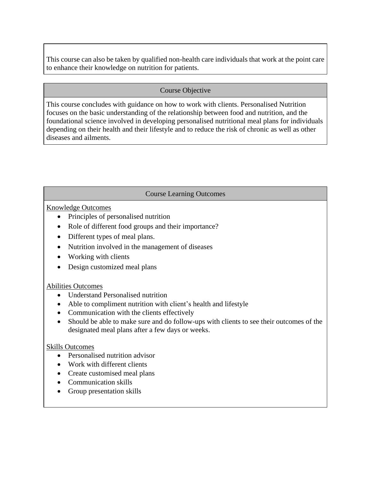This course can also be taken by qualified non-health care individuals that work at the point care to enhance their knowledge on nutrition for patients.

### Course Objective

This course concludes with guidance on how to work with clients. Personalised Nutrition focuses on the basic understanding of the relationship between food and nutrition, and the foundational science involved in developing personalised nutritional meal plans for individuals depending on their health and their lifestyle and to reduce the risk of chronic as well as other diseases and ailments.

# Course Learning Outcomes

### Knowledge Outcomes

- Principles of personalised nutrition
- Role of different food groups and their importance?
- Different types of meal plans.
- Nutrition involved in the management of diseases
- Working with clients
- Design customized meal plans

### Abilities Outcomes

- Understand Personalised nutrition
- Able to compliment nutrition with client's health and lifestyle
- Communication with the clients effectively
- Should be able to make sure and do follow-ups with clients to see their outcomes of the designated meal plans after a few days or weeks.

### Skills Outcomes

- Personalised nutrition advisor
- Work with different clients
- Create customised meal plans
- Communication skills
- Group presentation skills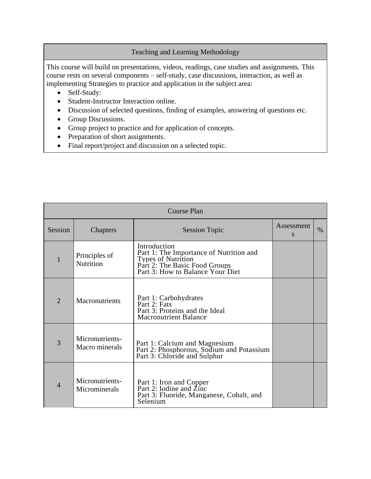### Teaching and Learning Methodology

This course will build on presentations, videos, readings, case studies and assignments. This course rests on several components – self-study, case discussions, interaction, as well as implementing Strategies to practice and application in the subject area:

- Self-Study:
- Student-Instructor Interaction online.
- Discussion of selected questions, finding of examples, answering of questions etc.
- Group Discussions.
- Group project to practice and for application of concepts.
- Preparation of short assignments.
- Final report/project and discussion on a selected topic.

| <b>Course Plan</b> |                                   |                                                                                                                                                    |                 |      |
|--------------------|-----------------------------------|----------------------------------------------------------------------------------------------------------------------------------------------------|-----------------|------|
| Session            | Chapters                          | <b>Session Topic</b>                                                                                                                               | Assessment<br>S | $\%$ |
|                    | Principles of<br>Nutrition        | Introduction<br>Part 1: The Importance of Nutrition and<br>Types of Nutrition<br>Part 2: The Basic Food Groups<br>Part 3: How to Balance Your Diet |                 |      |
| $\overline{2}$     | <b>Macronutrients</b>             | Part 1: Carbohydrates<br>Part 2: Fats<br>Part 3: Proteins and the Ideal<br><b>Macronutrient Balance</b>                                            |                 |      |
| 3                  | Micronutrients-<br>Macro minerals | Part 1: Calcium and Magnesium<br>Part 2: Phosphorous, Sodium and Potassium<br>Part 3: Chloride and Sulphur                                         |                 |      |
| $\overline{4}$     | Micronutrients-<br>Microminerals  | Part 1: Iron and Copper<br>Part 2: Iodine and Zinc<br>Part 3: Fluoride, Manganese, Cobalt, and<br>Selenium                                         |                 |      |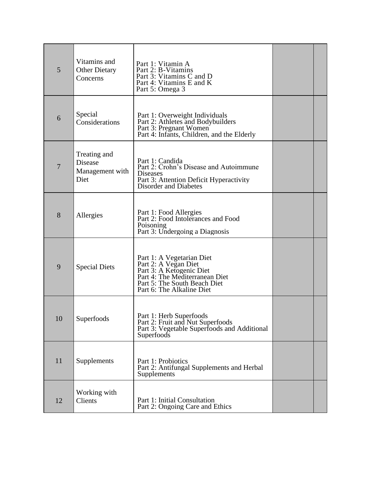| 5  | Vitamins and<br><b>Other Dietary</b><br>Concerns   | Part 1: Vitamin A<br>Part 2: B-Vitamins<br>Part 3: Vitamins C and D<br>Part 4: Vitamins E and K<br>Part 5: Omega 3                                                           |  |
|----|----------------------------------------------------|------------------------------------------------------------------------------------------------------------------------------------------------------------------------------|--|
| 6  | Special<br>Considerations                          | Part 1: Overweight Individuals<br>Part 2: Athletes and Bodybuilders<br>Part 3: Pregnant Women<br>Part 4: Infants, Children, and the Elderly                                  |  |
| 7  | Treating and<br>Disease<br>Management with<br>Diet | Part 1: Candida<br>Part 2: Crohn's Disease and Autoimmune<br><b>Diseases</b><br>Part 3: Attention Deficit Hyperactivity<br><b>Disorder and Diabetes</b>                      |  |
| 8  | Allergies                                          | Part 1: Food Allergies<br>Part 2: Food Intolerances and Food<br>Poisoning<br>Part 3: Undergoing a Diagnosis                                                                  |  |
| 9  | <b>Special Diets</b>                               | Part 1: A Vegetarian Diet<br>Part 2: A Vegan Diet<br>Part 3: A Ketogenic Diet<br>Part 4: The Mediterranean Diet<br>Part 5: The South Beach Diet<br>Part 6: The Alkaline Diet |  |
| 10 | Superfoods                                         | Part 1: Herb Superfoods<br>Part 2: Fruit and Nut Superfoods<br>Part 3: Vegetable Superfoods and Additional<br>Superfoods                                                     |  |
| 11 | Supplements                                        | Part 1: Probiotics<br>Part 2: Antifungal Supplements and Herbal<br>Supplements                                                                                               |  |
| 12 | Working with<br>Clients                            | Part 1: Initial Consultation<br>Part 2: Ongoing Care and Ethics                                                                                                              |  |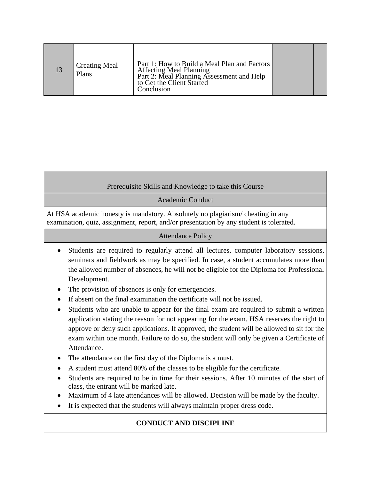|  | <b>Creating Meal</b><br>Plans | Part 1: How to Build a Meal Plan and Factors<br><b>Affecting Meal Planning</b><br>Part 2: Meal Planning Assessment and Help<br>to Get the Client Started<br>Conclusion |  |  |
|--|-------------------------------|------------------------------------------------------------------------------------------------------------------------------------------------------------------------|--|--|
|--|-------------------------------|------------------------------------------------------------------------------------------------------------------------------------------------------------------------|--|--|

### Prerequisite Skills and Knowledge to take this Course

Academic Conduct

At HSA academic honesty is mandatory. Absolutely no plagiarism/ cheating in any examination, quiz, assignment, report, and/or presentation by any student is tolerated.

#### [Attendance](http://10.0.5.230/feedback_C.asp?ref=/faculty.asp) Policy

- Students are required to regularly attend all lectures, computer laboratory sessions, seminars and fieldwork as may be specified. In case, a student accumulates more than the allowed number of absences, he will not be eligible for the Diploma for Professional Development.
- The provision of absences is only for emergencies.
- If absent on the final examination the certificate will not be issued.
- Students who are unable to appear for the final exam are required to submit a written application stating the reason for not appearing for the exam. HSA reserves the right to approve or deny such applications. If approved, the student will be allowed to sit for the exam within one month. Failure to do so, the student will only be given a Certificate of Attendance.
- The attendance on the first day of the Diploma is a must.
- A student must attend 80% of the classes to be eligible for the certificate.
- Students are required to be in time for their sessions. After 10 minutes of the start of class, the entrant will be marked late.
- Maximum of 4 late attendances will be allowed. Decision will be made by the faculty.
- It is expected that the students will always maintain proper dress code.

# **CONDUCT AND DISCIPLINE**